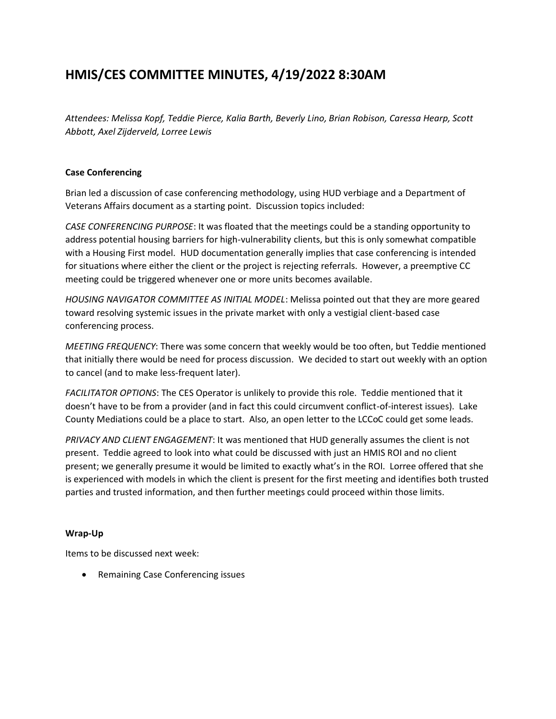# **HMIS/CES COMMITTEE MINUTES, 4/19/2022 8:30AM**

*Attendees: Melissa Kopf, Teddie Pierce, Kalia Barth, Beverly Lino, Brian Robison, Caressa Hearp, Scott Abbott, Axel Zijderveld, Lorree Lewis*

## **Case Conferencing**

Brian led a discussion of case conferencing methodology, using HUD verbiage and a Department of Veterans Affairs document as a starting point. Discussion topics included:

*CASE CONFERENCING PURPOSE*: It was floated that the meetings could be a standing opportunity to address potential housing barriers for high-vulnerability clients, but this is only somewhat compatible with a Housing First model. HUD documentation generally implies that case conferencing is intended for situations where either the client or the project is rejecting referrals. However, a preemptive CC meeting could be triggered whenever one or more units becomes available.

*HOUSING NAVIGATOR COMMITTEE AS INITIAL MODEL*: Melissa pointed out that they are more geared toward resolving systemic issues in the private market with only a vestigial client-based case conferencing process.

*MEETING FREQUENCY*: There was some concern that weekly would be too often, but Teddie mentioned that initially there would be need for process discussion. We decided to start out weekly with an option to cancel (and to make less-frequent later).

*FACILITATOR OPTIONS*: The CES Operator is unlikely to provide this role. Teddie mentioned that it doesn't have to be from a provider (and in fact this could circumvent conflict-of-interest issues). Lake County Mediations could be a place to start. Also, an open letter to the LCCoC could get some leads.

*PRIVACY AND CLIENT ENGAGEMENT*: It was mentioned that HUD generally assumes the client is not present. Teddie agreed to look into what could be discussed with just an HMIS ROI and no client present; we generally presume it would be limited to exactly what's in the ROI. Lorree offered that she is experienced with models in which the client is present for the first meeting and identifies both trusted parties and trusted information, and then further meetings could proceed within those limits.

### **Wrap-Up**

Items to be discussed next week:

• Remaining Case Conferencing issues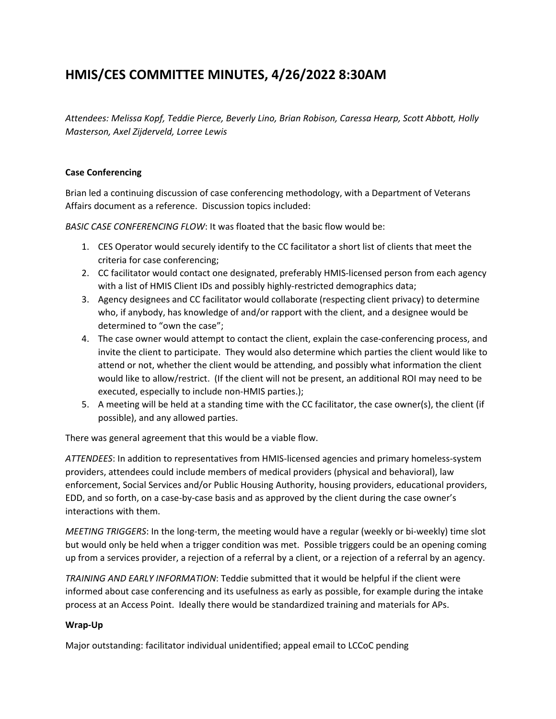# **HMIS/CES COMMITTEE MINUTES, 4/26/2022 8:30AM**

*Attendees: Melissa Kopf, Teddie Pierce, Beverly Lino, Brian Robison, Caressa Hearp, Scott Abbott, Holly Masterson, Axel Zijderveld, Lorree Lewis*

## **Case Conferencing**

Brian led a continuing discussion of case conferencing methodology, with a Department of Veterans Affairs document as a reference. Discussion topics included:

*BASIC CASE CONFERENCING FLOW*: It was floated that the basic flow would be:

- 1. CES Operator would securely identify to the CC facilitator a short list of clients that meet the criteria for case conferencing;
- 2. CC facilitator would contact one designated, preferably HMIS-licensed person from each agency with a list of HMIS Client IDs and possibly highly-restricted demographics data;
- 3. Agency designees and CC facilitator would collaborate (respecting client privacy) to determine who, if anybody, has knowledge of and/or rapport with the client, and a designee would be determined to "own the case";
- 4. The case owner would attempt to contact the client, explain the case-conferencing process, and invite the client to participate. They would also determine which parties the client would like to attend or not, whether the client would be attending, and possibly what information the client would like to allow/restrict. (If the client will not be present, an additional ROI may need to be executed, especially to include non-HMIS parties.);
- 5. A meeting will be held at a standing time with the CC facilitator, the case owner(s), the client (if possible), and any allowed parties.

There was general agreement that this would be a viable flow.

*ATTENDEES*: In addition to representatives from HMIS-licensed agencies and primary homeless-system providers, attendees could include members of medical providers (physical and behavioral), law enforcement, Social Services and/or Public Housing Authority, housing providers, educational providers, EDD, and so forth, on a case-by-case basis and as approved by the client during the case owner's interactions with them.

*MEETING TRIGGERS*: In the long-term, the meeting would have a regular (weekly or bi-weekly) time slot but would only be held when a trigger condition was met. Possible triggers could be an opening coming up from a services provider, a rejection of a referral by a client, or a rejection of a referral by an agency.

*TRAINING AND EARLY INFORMATION*: Teddie submitted that it would be helpful if the client were informed about case conferencing and its usefulness as early as possible, for example during the intake process at an Access Point. Ideally there would be standardized training and materials for APs.

### **Wrap-Up**

Major outstanding: facilitator individual unidentified; appeal email to LCCoC pending